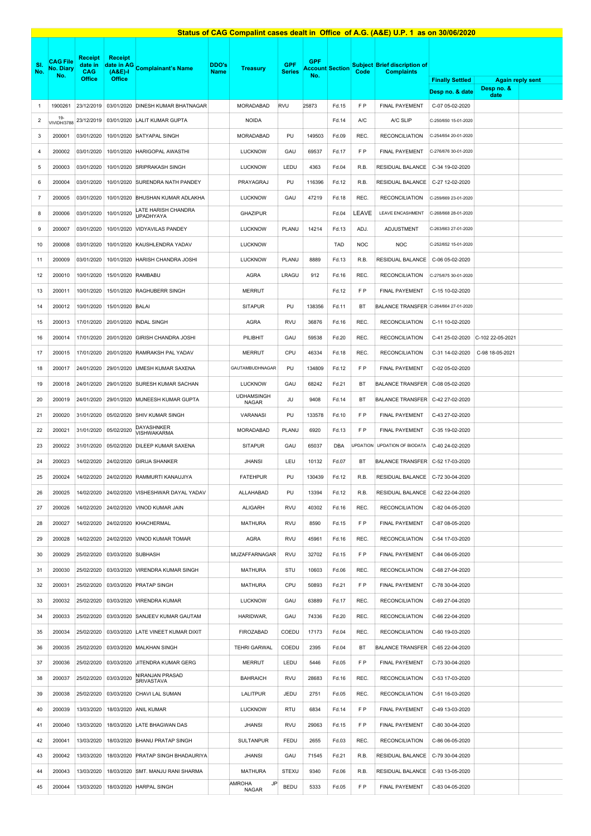|                         |                                            |                                                   |                                              |                                         |                      |                            |                             |                   |                        |                 | Status of CAG Compalint cases dealt in Office of A.G. (A&E) U.P. 1 as on 30/06/2020 |                        |                                       |  |
|-------------------------|--------------------------------------------|---------------------------------------------------|----------------------------------------------|-----------------------------------------|----------------------|----------------------------|-----------------------------|-------------------|------------------------|-----------------|-------------------------------------------------------------------------------------|------------------------|---------------------------------------|--|
| SI.<br>No.              | <b>CAG File</b><br><b>No. Diary</b><br>No. | <b>Receipt</b><br>date in<br>CAG<br><b>Office</b> | <b>Receipt</b><br>$(A&E)$ -<br><b>Office</b> | date in AG Complainant's Name           | DDO's<br><b>Name</b> | <b>Treasury</b>            | <b>GPF</b><br><b>Series</b> | <b>GPF</b><br>No. | <b>Account Section</b> | Code            | Subject Brief discription of<br><b>Complaints</b>                                   | <b>Finally Settled</b> |                                       |  |
|                         |                                            |                                                   |                                              |                                         |                      |                            |                             |                   |                        |                 |                                                                                     | Desp no. & date        | <b>Again reply sent</b><br>Desp no. & |  |
| $\mathbf{1}$            | 1900261                                    | 23/12/2019                                        | 03/01/2020                                   | DINESH KUMAR BHATNAGAR                  |                      | MORADABAD                  | <b>RVU</b>                  | 25873             | Fd.15                  | F P             | <b>FINAL PAYEMENT</b>                                                               | C-07 05-02-2020        | date                                  |  |
| $\overline{\mathbf{c}}$ | $19 -$<br>VIVIDH/3788                      | 23/12/2019                                        | 03/01/2020                                   | LALIT KUMAR GUPTA                       |                      | <b>NOIDA</b>               |                             |                   | Fd.14                  | A/C             | A/C SLIP                                                                            | C-250/650 15-01-2020   |                                       |  |
| 3                       | 200001                                     | 03/01/2020                                        | 10/01/2020                                   | SATYAPAL SINGH                          |                      | <b>MORADABAD</b>           | PU                          | 149503            | Fd.09                  | REC.            | <b>RECONCILIATION</b>                                                               | C-254/654 20-01-2020   |                                       |  |
| 4                       | 200002                                     | 03/01/2020                                        | 10/01/2020                                   | <b>HARIGOPAL AWASTHI</b>                |                      | <b>LUCKNOW</b>             | GAU                         | 69537             | Fd.17                  | F P             | FINAL PAYEMENT                                                                      | C-276/676 30-01-2020   |                                       |  |
| 5                       | 200003                                     | 03/01/2020                                        | 10/01/2020                                   | <b>SRIPRAKASH SINGH</b>                 |                      | <b>LUCKNOW</b>             | LEDU                        | 4363              | Fd.04                  | R.B.            | RESIDUAL BALANCE                                                                    | C-34 19-02-2020        |                                       |  |
| 6                       | 200004                                     | 03/01/2020                                        | 10/01/2020                                   | SURENDRA NATH PANDEY                    |                      | PRAYAGRAJ                  | PU                          | 116396            | Fd.12                  | R.B.            | RESIDUAL BALANCE                                                                    | C-27 12-02-2020        |                                       |  |
| $\overline{7}$          | 200005                                     | 03/01/2020                                        | 10/01/2020                                   | BHUSHAN KUMAR ADLAKHA                   |                      | <b>LUCKNOW</b>             | GAU                         | 47219             | Fd.18                  | REC.            | <b>RECONCILIATION</b>                                                               | C-259/669 23-01-2020   |                                       |  |
| 8                       | 200006                                     | 03/01/2020                                        | 10/01/2020                                   | LATE HARISH CHANDRA<br><b>UPADHYAYA</b> |                      | <b>GHAZIPUR</b>            |                             |                   | Fd.04                  | LEAVE           | LEAVE ENCASHMENT                                                                    | C-268/668 28-01-2020   |                                       |  |
| 9                       | 200007                                     | 03/01/2020                                        | 10/01/2020                                   | VIDYAVILAS PANDEY                       |                      | <b>LUCKNOW</b>             | PLANU                       | 14214             | Fd.13                  | ADJ.            | <b>ADJUSTMENT</b>                                                                   | C-263/663 27-01-2020   |                                       |  |
| 10                      | 200008                                     | 03/01/2020                                        | 10/01/2020                                   | KAUSHLENDRA YADAV                       |                      | <b>LUCKNOW</b>             |                             |                   | <b>TAD</b>             | <b>NOC</b>      | <b>NOC</b>                                                                          | C-252/652 15-01-2020   |                                       |  |
| 11                      | 200009                                     | 03/01/2020                                        | 10/01/2020                                   | HARISH CHANDRA JOSHI                    |                      | <b>LUCKNOW</b>             | PLANU                       | 8889              | Fd.13                  | R.B.            | RESIDUAL BALANCE                                                                    | C-06 05-02-2020        |                                       |  |
| 12                      | 200010                                     | 10/01/2020                                        | 15/01/2020                                   | RAMBABU                                 |                      | AGRA                       | LRAGU                       | 912               | Fd.16                  | REC.            | <b>RECONCILIATION</b>                                                               | C-275/675 30-01-2020   |                                       |  |
| 13                      | 200011                                     | 10/01/2020                                        | 15/01/2020                                   | <b>RAGHUBERR SINGH</b>                  |                      | <b>MERRUT</b>              |                             |                   | Fd.12                  | F P             | FINAL PAYEMENT                                                                      | C-15 10-02-2020        |                                       |  |
| 14                      | 200012                                     | 10/01/2020                                        | 15/01/2020                                   | <b>BALAI</b>                            |                      | <b>SITAPUR</b>             | PU                          | 138356            | Fd.11                  | BT              | <b>BALANCE TRANSFER</b>                                                             | C-264/664 27-01-2020   |                                       |  |
| 15                      | 200013                                     | 17/01/2020                                        | 20/01/2020                                   | <b>INDAL SINGH</b>                      |                      | AGRA                       | <b>RVU</b>                  | 36876             | Fd.16                  | REC.            | <b>RECONCILIATION</b>                                                               | C-11 10-02-2020        |                                       |  |
| 16                      | 200014                                     | 17/01/2020                                        | 20/01/2020                                   | <b>GIRISH CHANDRA JOSHI</b>             |                      | PILIBHIT                   | GAU                         | 59538             | Fd.20                  | REC.            | <b>RECONCILIATION</b>                                                               | C-41 25-02-2020        | C-102 22-05-2021                      |  |
| 17                      | 200015                                     | 17/01/2020                                        | 20/01/2020                                   | RAMRAKSH PAL YADAV                      |                      | MERRUT                     | CPU                         | 46334             | Fd.18                  | REC.            | <b>RECONCILIATION</b>                                                               | C-31 14-02-2020        | C-98 18-05-2021                       |  |
| 18                      | 200017                                     | 24/01/2020                                        | 29/01/2020                                   | UMESH KUMAR SAXENA                      |                      | GAUTAMBUDHNAGAR            | PU                          | 134809            | Fd.12                  | F P             | FINAL PAYEMENT                                                                      | C-02 05-02-2020        |                                       |  |
| 19                      | 200018                                     | 24/01/2020                                        | 29/01/2020                                   | SURESH KUMAR SACHAN                     |                      | <b>LUCKNOW</b>             | GAU                         | 68242             | Fd.21                  | BT              | <b>BALANCE TRANSFER</b>                                                             | C-08 05-02-2020        |                                       |  |
| 20                      | 200019                                     | 24/01/2020                                        | 29/01/2020                                   | MUNEESH KUMAR GUPTA                     |                      | <b>UDHAMSINGH</b><br>NAGAR | JU                          | 9408              | Fd.14                  | BT              | BALANCE TRANSFER                                                                    | C-42 27-02-2020        |                                       |  |
| 21                      | 200020                                     | 31/01/2020                                        | 05/02/2020                                   | <b>SHIV KUMAR SINGH</b>                 |                      | <b>VARANASI</b>            | PU                          | 133578            | Fd.10                  | F P             | FINAL PAYEMENT                                                                      | C-43 27-02-2020        |                                       |  |
| 22                      | 200021                                     | 31/01/2020                                        | 05/02/2020                                   | DAYASHNKER<br>VISHWAKARMA               |                      | MORADABAD                  | PLANU                       | 6920              | Fd.13                  | F P             | FINAL PAYEMENT                                                                      | C-35 19-02-2020        |                                       |  |
| 23                      | 200022                                     | 31/01/2020                                        | 05/02/2020                                   | DILEEP KUMAR SAXENA                     |                      | <b>SITAPUR</b>             | GAU                         | 65037             | <b>DBA</b>             | <b>JPDATION</b> | UPDATION OF BIODATA                                                                 | C-40 24-02-2020        |                                       |  |
| 24                      | 200023                                     | 14/02/2020                                        | 24/02/2020                                   | <b>GIRIJA SHANKER</b>                   |                      | <b>JHANSI</b>              | LEU                         | 10132             | Fd.07                  | BT              | <b>BALANCE TRANSFER</b>                                                             | C-52 17-03-2020        |                                       |  |
| 25                      | 200024                                     | 14/02/2020                                        |                                              | 24/02/2020 RAMMURTI KANAUJIYA           |                      | <b>FATEHPUR</b>            | PU                          | 130439            | Fd.12                  | R.B.            | RESIDUAL BALANCE                                                                    | C-72 30-04-2020        |                                       |  |
| 26                      | 200025                                     | 14/02/2020                                        | 24/02/2020                                   | VISHESHWAR DAYAL YADAV                  |                      | ALLAHABAD                  | PU                          | 13394             | Fd.12                  | R.B.            | RESIDUAL BALANCE                                                                    | C-62 22-04-2020        |                                       |  |
| 27                      | 200026                                     | 14/02/2020                                        | 24/02/2020                                   | VINOD KUMAR JAIN                        |                      | ALIGARH                    | <b>RVU</b>                  | 40302             | Fd.16                  | REC.            | <b>RECONCILIATION</b>                                                               | C-82 04-05-2020        |                                       |  |
| 28                      | 200027                                     | 14/02/2020                                        | 24/02/2020                                   | KHACHERMAL                              |                      | <b>MATHURA</b>             | <b>RVU</b>                  | 8590              | Fd.15                  | F P             | <b>FINAL PAYEMENT</b>                                                               | C-87 08-05-2020        |                                       |  |
| 29                      | 200028                                     | 14/02/2020                                        | 24/02/2020                                   | VINOD KUMAR TOMAR                       |                      | AGRA                       | RVU                         | 45961             | Fd.16                  | REC.            | <b>RECONCILIATION</b>                                                               | C-54 17-03-2020        |                                       |  |
| 30                      | 200029                                     | 25/02/2020                                        | 03/03/2020                                   | SUBHASH                                 |                      | <b>MUZAFFARNAGAR</b>       | <b>RVU</b>                  | 32702             | Fd.15                  | F P             | FINAL PAYEMENT                                                                      | C-84 06-05-2020        |                                       |  |
| 31                      | 200030                                     | 25/02/2020                                        | 03/03/2020                                   | VIRENDRA KUMAR SINGH                    |                      | <b>MATHURA</b>             | STU                         | 10603             | Fd.06                  | REC.            | <b>RECONCILIATION</b>                                                               | C-68 27-04-2020        |                                       |  |
| 32                      | 200031                                     | 25/02/2020                                        | 03/03/2020                                   | <b>PRATAP SINGH</b>                     |                      | <b>MATHURA</b>             | CPU                         | 50893             | Fd.21                  | F P             | FINAL PAYEMENT                                                                      | C-78 30-04-2020        |                                       |  |
| 33                      | 200032                                     | 25/02/2020                                        | 03/03/2020                                   | VIRENDRA KUMAR                          |                      | <b>LUCKNOW</b>             | GAU                         | 63889             | Fd.17                  | REC.            | <b>RECONCILIATION</b>                                                               | C-69 27-04-2020        |                                       |  |
| 34                      | 200033                                     | 25/02/2020                                        | 03/03/2020                                   | SANJEEV KUMAR GAUTAM                    |                      | HARIDWAR,                  | GAU                         | 74336             | Fd.20                  | REC.            | <b>RECONCILIATION</b>                                                               | C-66 22-04-2020        |                                       |  |
| 35                      | 200034                                     | 25/02/2020                                        | 03/03/2020                                   | LATE VINEET KUMAR DIXIT                 |                      | <b>FIROZABAD</b>           | COEDU                       | 17173             | Fd.04                  | REC.            | <b>RECONCILIATION</b>                                                               | C-60 19-03-2020        |                                       |  |
| 36                      | 200035                                     | 25/02/2020                                        | 03/03/2020                                   | <b>MALKHAN SINGH</b>                    |                      | <b>TEHRI GARWAL</b>        | COEDU                       | 2395              | Fd.04                  | BT              | <b>BALANCE TRANSFER</b>                                                             | C-65 22-04-2020        |                                       |  |
| 37                      | 200036                                     | 25/02/2020                                        | 03/03/2020                                   | JITENDRA KUMAR GERG                     |                      | MERRUT                     | LEDU                        | 5446              | Fd.05                  | F P             | FINAL PAYEMENT                                                                      | C-73 30-04-2020        |                                       |  |
| 38                      | 200037                                     | 25/02/2020                                        | 03/03/2020                                   | NIRANJAN PRASAD<br>SRIVASTAVA           |                      | <b>BAHRAICH</b>            | <b>RVU</b>                  | 28683             | Fd.16                  | REC.            | <b>RECONCILIATION</b>                                                               | C-53 17-03-2020        |                                       |  |
| 39                      | 200038                                     | 25/02/2020                                        | 03/03/2020                                   | CHAVI LAL SUMAN                         |                      | LALITPUR                   | JEDU                        | 2751              | Fd.05                  | REC.            | <b>RECONCILIATION</b>                                                               | C-51 16-03-2020        |                                       |  |
| 40                      | 200039                                     | 13/03/2020                                        | 18/03/2020                                   | <b>ANIL KUMAR</b>                       |                      | <b>LUCKNOW</b>             | RTU                         | 6834              | Fd.14                  | F P             | FINAL PAYEMENT                                                                      | C-49 13-03-2020        |                                       |  |
| 41                      | 200040                                     | 13/03/2020                                        | 18/03/2020                                   | LATE BHAGWAN DAS                        |                      | <b>JHANSI</b>              | <b>RVU</b>                  | 29063             | Fd.15                  | F P             | FINAL PAYEMENT                                                                      | C-80 30-04-2020        |                                       |  |
| 42                      | 200041                                     | 13/03/2020                                        | 18/03/2020                                   | <b>BHANU PRATAP SINGH</b>               |                      | <b>SULTANPUR</b>           | FEDU                        | 2655              | Fd.03                  | REC.            | <b>RECONCILIATION</b>                                                               | C-86 06-05-2020        |                                       |  |
| 43                      | 200042                                     | 13/03/2020                                        | 18/03/2020                                   | <b>PRATAP SINGH BHADAURIYA</b>          |                      | <b>JHANSI</b>              | GAU                         | 71545             | Fd.21                  | R.B.            | RESIDUAL BALANCE                                                                    | C-79 30-04-2020        |                                       |  |
| 44                      | 200043                                     | 13/03/2020                                        | 18/03/2020                                   | SMT. MANJU RANI SHARMA                  |                      | <b>MATHURA</b>             | <b>STEXU</b>                | 9340              | Fd.06                  | R.B.            | RESIDUAL BALANCE                                                                    | C-93 13-05-2020        |                                       |  |
| 45                      | 200044                                     | 13/03/2020                                        | 18/03/2020                                   | <b>HARPAL SINGH</b>                     |                      | AMROHA<br>JP<br>NAGAR      | <b>BEDU</b>                 | 5333              | Fd.05                  | F P             | FINAL PAYEMENT                                                                      | C-83 04-05-2020        |                                       |  |